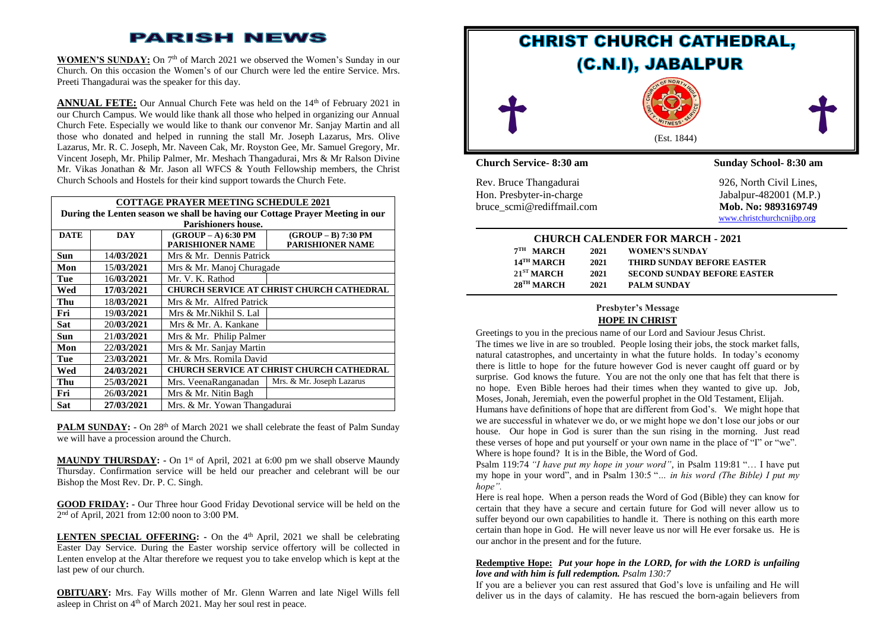# **PARISH NEWS**

**WOMEN'S SUNDAY:** On 7<sup>th</sup> of March 2021 we observed the Women's Sunday in our Church. On this occasion the Women's of our Church were led the entire Service. Mrs. Preeti Thangadurai was the speaker for this day.

**ANNUAL FETE:** Our Annual Church Fete was held on the 14<sup>th</sup> of February 2021 in our Church Campus. We would like thank all those who helped in organizing our Annual Church Fete. Especially we would like to thank our convenor Mr. Sanjay Martin and all those who donated and helped in running the stall Mr. Joseph Lazarus, Mrs. Olive Lazarus, Mr. R. C. Joseph, Mr. Naveen Cak, Mr. Royston Gee, Mr. Samuel Gregory, Mr. Vincent Joseph, Mr. Philip Palmer, Mr. Meshach Thangadurai, Mrs & Mr Ralson Divine Mr. Vikas Jonathan & Mr. Jason all WFCS & Youth Fellowship members, the Christ Church Schools and Hostels for their kind support towards the Church Fete.

|                                                                               |            | <b>COTTAGE PRAYER MEETING SCHEDULE 2021</b>      |                           |  |  |
|-------------------------------------------------------------------------------|------------|--------------------------------------------------|---------------------------|--|--|
| During the Lenten season we shall be having our Cottage Prayer Meeting in our |            |                                                  |                           |  |  |
| <b>Parishioners house.</b>                                                    |            |                                                  |                           |  |  |
| <b>DATE</b>                                                                   | <b>DAY</b> | $(GROUP - A)$ 6:30 PM                            | (GROUP - B) 7:30 PM       |  |  |
|                                                                               |            | <b>PARISHIONER NAME</b>                          | <b>PARISHIONER NAME</b>   |  |  |
| Sun                                                                           | 14/03/2021 | Mrs & Mr. Dennis Patrick                         |                           |  |  |
| Mon                                                                           | 15/03/2021 | Mrs & Mr. Manoj Churagade                        |                           |  |  |
| Tue                                                                           | 16/03/2021 | Mr. V. K. Rathod                                 |                           |  |  |
| Wed                                                                           | 17/03/2021 | CHURCH SERVICE AT CHRIST CHURCH CATHEDRAL        |                           |  |  |
| Thu                                                                           | 18/03/2021 | Mrs & Mr. Alfred Patrick                         |                           |  |  |
| Fri                                                                           | 19/03/2021 | Mrs & Mr.Nikhil S. Lal                           |                           |  |  |
| Sat                                                                           | 20/03/2021 | Mrs & Mr. A. Kankane                             |                           |  |  |
| Sun                                                                           | 21/03/2021 | Mrs & Mr. Philip Palmer                          |                           |  |  |
| Mon                                                                           | 22/03/2021 | Mrs & Mr. Sanjay Martin                          |                           |  |  |
| Tue                                                                           | 23/03/2021 | Mr. & Mrs. Romila David                          |                           |  |  |
| Wed                                                                           | 24/03/2021 | <b>CHURCH SERVICE AT CHRIST CHURCH CATHEDRAL</b> |                           |  |  |
| Thu                                                                           | 25/03/2021 | Mrs. VeenaRanganadan                             | Mrs. & Mr. Joseph Lazarus |  |  |
| Fri                                                                           | 26/03/2021 | Mrs & Mr. Nitin Bagh                             |                           |  |  |
| Sat                                                                           | 27/03/2021 | Mrs. & Mr. Yowan Thangadurai                     |                           |  |  |

PALM SUNDAY: - On 28<sup>th</sup> of March 2021 we shall celebrate the feast of Palm Sunday we will have a procession around the Church.

MAUNDY THURSDAY: - On 1<sup>st</sup> of April, 2021 at 6:00 pm we shall observe Maundy Thursday. Confirmation service will be held our preacher and celebrant will be our Bishop the Most Rev. Dr. P. C. Singh.

**GOOD FRIDAY: -** Our Three hour Good Friday Devotional service will be held on the 2 nd of April, 2021 from 12:00 noon to 3:00 PM.

**LENTEN SPECIAL OFFERING:** - On the 4<sup>th</sup> April, 2021 we shall be celebrating Easter Day Service. During the Easter worship service offertory will be collected in Lenten envelop at the Altar therefore we request you to take envelop which is kept at the last pew of our church.

**OBITUARY:** Mrs. Fay Wills mother of Mr. Glenn Warren and late Nigel Wills fell asleep in Christ on 4<sup>th</sup> of March 2021. May her soul rest in peace.



# **CHURCH CALENDER FOR MARCH - 2021**

| $7TH$ MARCH              | 2021 | <b>WOMEN'S SUNDAY</b>              |
|--------------------------|------|------------------------------------|
| $14$ <sup>TH</sup> MARCH | 2021 | <b>THIRD SUNDAY BEFORE EASTER</b>  |
| $21^{ST}$ MARCH          | 2021 | <b>SECOND SUNDAY BEFORE EASTER</b> |
| $28$ <sup>TH</sup> MARCH | 2021 | <b>PALM SUNDAY</b>                 |

**Presbyter's Message**

#### **HOPE IN CHRIST**

Greetings to you in the precious name of our Lord and Saviour Jesus Christ. The times we live in are so troubled. People losing their jobs, the stock market falls, natural catastrophes, and uncertainty in what the future holds. In today's economy there is little to hope for the future however God is never caught off guard or by surprise. God knows the future. You are not the only one that has felt that there is no hope. Even Bible heroes had their times when they wanted to give up. Job, Moses, [Jonah,](https://www.whatchristianswanttoknow.com/jonah-and-the-great-fish-a-bible-study-and-commentary/) Jeremiah, even the powerful prophet in the Old Testament, Elijah.

Humans have definitions of hope that are different from God's. We might hope that we are successful in whatever we do, or we might hope we don't lose our jobs or our house. Our hope in God is surer than the sun rising in the morning. Just read these [verses of hope](https://www.whatchristianswanttoknow.com/bible-verses-about-hope-20-uplifting-scripture-quotes/) and put yourself or your own name in the place of "I" or "we". Where is hope found? It is in the Bible, the Word of God.

Psalm 119:74 *"I have put my hope in your word"*, in Psalm 119:81 "… I have put my hope in your word", and in Psalm 130:5 "*… in his word (The Bible) I put my hope".*

Here is real hope. When a person reads the Word of God (Bible) they can know for certain that they have a secure and certain future for God will never allow us to suffer beyond our own capabilities to handle it. There is nothing on this earth more certain than hope in God. He will never leave us nor will He ever forsake us. He is our anchor in the present and for the future.

#### **Redemptive Hope:** *Put your hope in the LORD, for with the LORD is unfailing love and with him is full redemption. Psalm 130:7*

If you are a believer you can rest assured that God's love is unfailing and He will deliver us in the days of calamity. He has rescued the born-again believers from